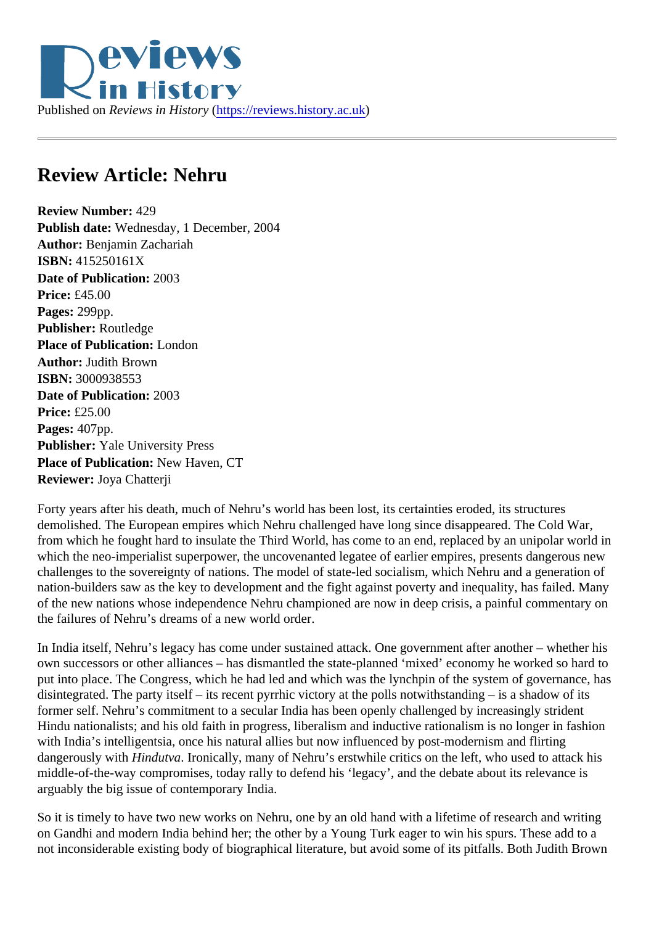## Review Article: Nehru

Review Number: 429 Publish date: Wednesday, 1 December, 2004 Author: Benjamin Zachariah ISBN: 415250161X Date of Publication: 2003 Price: £45.00 Pages: 299pp. Publisher: Routledge Place of Publication: London Author: Judith Brown ISBN: 3000938553 Date of Publication: 2003 Price: £25.00 Pages: 407pp. Publisher: Yale University Press Place of Publication: New Haven, CT Reviewer: Joya Chatterji

Forty years after his death, much of Nehru's world has been lost, its certainties eroded, its structures demolished. The European empires which Nehru challenged have long since disappeared. The Cold War, from which he fought hard to insulate the Third World, has come to an end, replaced by an unipolar world which the neo-imperialist superpower, the uncovenanted legatee of earlier empires, presents dangerous n challenges to the sovereignty of nations. The model of state-led socialism, which Nehru and a generation nation-builders saw as the key to development and the fight against poverty and inequality, has failed. Ma of the new nations whose independence Nehru championed are now in deep crisis, a painful commentary the failures of Nehru's dreams of a new world order.

In India itself, Nehru's legacy has come under sustained attack. One government after another - whether own successors or other alliances – has dismantled the state-planned 'mixed' economy he worked so hard put into place. The Congress, which he had led and which was the lynchpin of the system of governance, disintegrated. The party itself – its recent pyrrhic victory at the polls notwithstanding – is a shadow of its former self. Nehru's commitment to a secular India has been openly challenged by increasingly strident Hindu nationalists; and his old faith in progress, liberalism and inductive rationalism is no longer in fashion with India's intelligentsia, once his natural allies but now influenced by post-modernism and flirting dangerously with Hindutva Ironically, many of Nehru's erstwhile critics on the left, who used to attack his middle-of-the-way compromises, today rally to defend his 'legacy', and the debate about its relevance is arguably the big issue of contemporary India.

So it is timely to have two new works on Nehru, one by an old hand with a lifetime of research and writing on Gandhi and modern India behind her; the other by a Young Turk eager to win his spurs. These add to a not inconsiderable existing body of biographical literature, but avoid some of its pitfalls. Both Judith Brown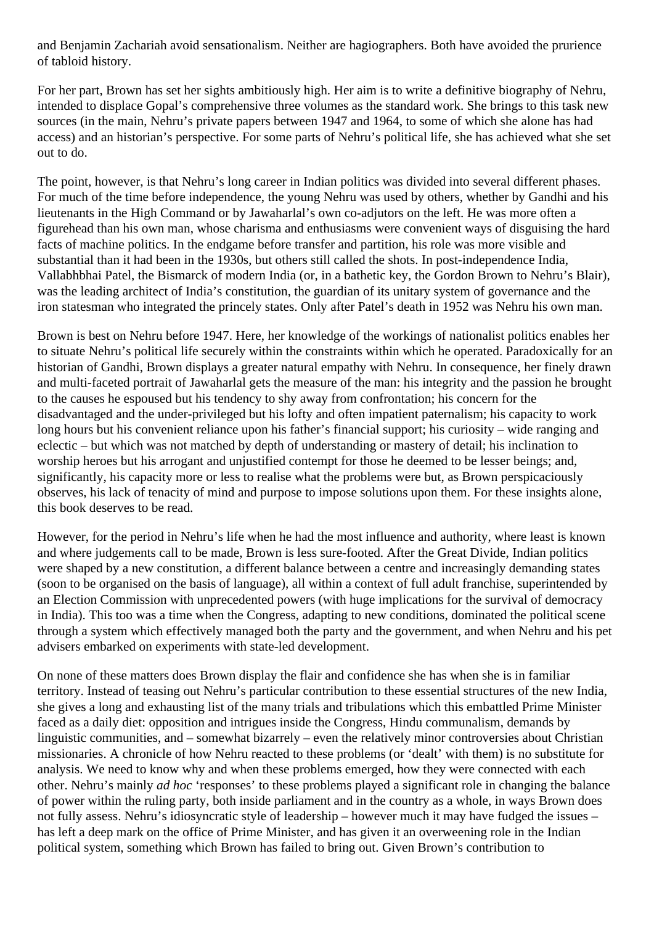and Benjamin Zachariah avoid sensationalism. Neither are hagiographers. Both have avoided the prurience of tabloid history.

For her part, Brown has set her sights ambitiously high. Her aim is to write a definitive biography of Nehru, intended to displace Gopal's comprehensive three volumes as the standard work. She brings to this task new sources (in the main, Nehru's private papers between 1947 and 1964, to some of which she alone has had access) and an historian's perspective. For some parts of Nehru's political life, she has achieved what she set out to do.

The point, however, is that Nehru's long career in Indian politics was divided into several different phases. For much of the time before independence, the young Nehru was used by others, whether by Gandhi and his lieutenants in the High Command or by Jawaharlal's own co-adjutors on the left. He was more often a figurehead than his own man, whose charisma and enthusiasms were convenient ways of disguising the hard facts of machine politics. In the endgame before transfer and partition, his role was more visible and substantial than it had been in the 1930s, but others still called the shots. In post-independence India, Vallabhbhai Patel, the Bismarck of modern India (or, in a bathetic key, the Gordon Brown to Nehru's Blair), was the leading architect of India's constitution, the guardian of its unitary system of governance and the iron statesman who integrated the princely states. Only after Patel's death in 1952 was Nehru his own man.

Brown is best on Nehru before 1947. Here, her knowledge of the workings of nationalist politics enables her to situate Nehru's political life securely within the constraints within which he operated. Paradoxically for an historian of Gandhi, Brown displays a greater natural empathy with Nehru. In consequence, her finely drawn and multi-faceted portrait of Jawaharlal gets the measure of the man: his integrity and the passion he brought to the causes he espoused but his tendency to shy away from confrontation; his concern for the disadvantaged and the under-privileged but his lofty and often impatient paternalism; his capacity to work long hours but his convenient reliance upon his father's financial support; his curiosity – wide ranging and eclectic – but which was not matched by depth of understanding or mastery of detail; his inclination to worship heroes but his arrogant and unjustified contempt for those he deemed to be lesser beings; and, significantly, his capacity more or less to realise what the problems were but, as Brown perspicaciously observes, his lack of tenacity of mind and purpose to impose solutions upon them. For these insights alone, this book deserves to be read.

However, for the period in Nehru's life when he had the most influence and authority, where least is known and where judgements call to be made, Brown is less sure-footed. After the Great Divide, Indian politics were shaped by a new constitution, a different balance between a centre and increasingly demanding states (soon to be organised on the basis of language), all within a context of full adult franchise, superintended by an Election Commission with unprecedented powers (with huge implications for the survival of democracy in India). This too was a time when the Congress, adapting to new conditions, dominated the political scene through a system which effectively managed both the party and the government, and when Nehru and his pet advisers embarked on experiments with state-led development.

On none of these matters does Brown display the flair and confidence she has when she is in familiar territory. Instead of teasing out Nehru's particular contribution to these essential structures of the new India, she gives a long and exhausting list of the many trials and tribulations which this embattled Prime Minister faced as a daily diet: opposition and intrigues inside the Congress, Hindu communalism, demands by linguistic communities, and – somewhat bizarrely – even the relatively minor controversies about Christian missionaries. A chronicle of how Nehru reacted to these problems (or 'dealt' with them) is no substitute for analysis. We need to know why and when these problems emerged, how they were connected with each other. Nehru's mainly *ad hoc* 'responses' to these problems played a significant role in changing the balance of power within the ruling party, both inside parliament and in the country as a whole, in ways Brown does not fully assess. Nehru's idiosyncratic style of leadership – however much it may have fudged the issues – has left a deep mark on the office of Prime Minister, and has given it an overweening role in the Indian political system, something which Brown has failed to bring out. Given Brown's contribution to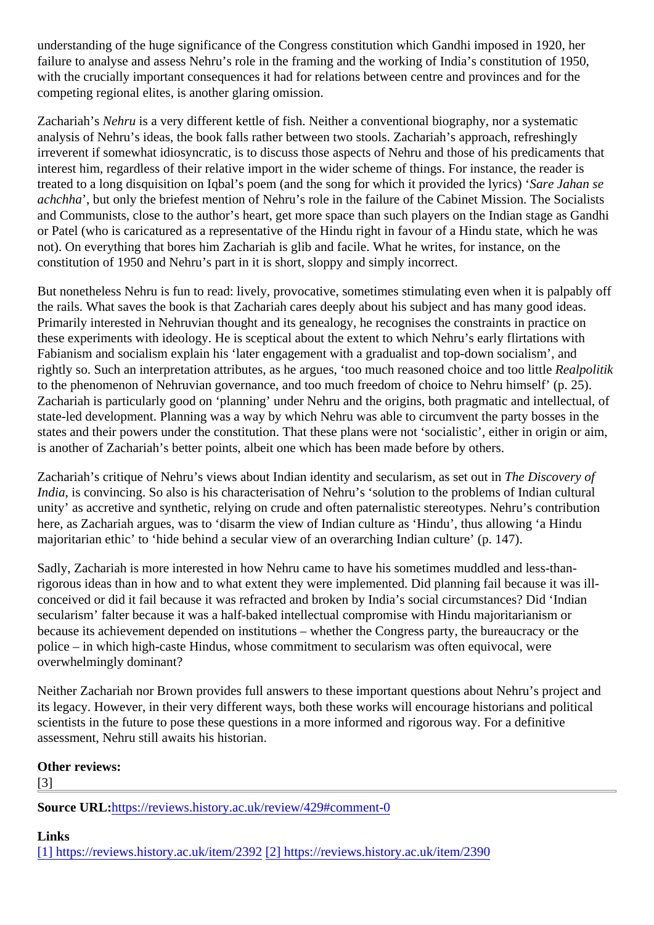understanding of the huge significance of the Congress constitution which Gandhi imposed in 1920, her failure to analyse and assess Nehru's role in the framing and the working of India's constitution of 1950, with the crucially important consequences it had for relations between centre and provinces and for the competing regional elites, is another glaring omission.

Zachariah's Nehruis a very different kettle of fish. Neither a conventional biography, nor a systematic analysis of Nehru's ideas, the book falls rather between two stools. Zachariah's approach, refreshingly irreverent if somewhat idiosyncratic, is to discuss those aspects of Nehru and those of his predicaments that interest him, regardless of their relative import in the wider scheme of things. For instance, the reader is treated to a long disquisition on Iqbal's poem (and the song for which it provided the Sace) Jahan se achchha, but only the briefest mention of Nehru's role in the failure of the Cabinet Mission. The Socialists and Communists, close to the author's heart, get more space than such players on the Indian stage as Ga or Patel (who is caricatured as a representative of the Hindu right in favour of a Hindu state, which he was not). On everything that bores him Zachariah is glib and facile. What he writes, for instance, on the constitution of 1950 and Nehru's part in it is short, sloppy and simply incorrect.

But nonetheless Nehru is fun to read: lively, provocative, sometimes stimulating even when it is palpably of the rails. What saves the book is that Zachariah cares deeply about his subject and has many good ideas. Primarily interested in Nehruvian thought and its genealogy, he recognises the constraints in practice on these experiments with ideology. He is sceptical about the extent to which Nehru's early flirtations with Fabianism and socialism explain his 'later engagement with a gradualist and top-down socialism', and rightly so. Such an interpretation attributes, as he argues, 'too much reasoned choice and too little Real to the phenomenon of Nehruvian governance, and too much freedom of choice to Nehru himself' (p. 25). Zachariah is particularly good on 'planning' under Nehru and the origins, both pragmatic and intellectual, c state-led development. Planning was a way by which Nehru was able to circumvent the party bosses in the states and their powers under the constitution. That these plans were not 'socialistic', either in origin or ain is another of Zachariah's better points, albeit one which has been made before by others.

Zachariah's critique of Nehru's views about Indian identity and secularism, as set bet Discovery of India, is convincing. So also is his characterisation of Nehru's 'solution to the problems of Indian cultural unity' as accretive and synthetic, relying on crude and often paternalistic stereotypes. Nehru's contribution here, as Zachariah argues, was to 'disarm the view of Indian culture as 'Hindu', thus allowing 'a Hindu majoritarian ethic' to 'hide behind a secular view of an overarching Indian culture' (p. 147).

Sadly, Zachariah is more interested in how Nehru came to have his sometimes muddled and less-thanrigorous ideas than in how and to what extent they were implemented. Did planning fail because it was illconceived or did it fail because it was refracted and broken by India's social circumstances? Did 'Indian secularism' falter because it was a half-baked intellectual compromise with Hindu majoritarianism or because its achievement depended on institutions – whether the Congress party, the bureaucracy or the police – in which high-caste Hindus, whose commitment to secularism was often equivocal, were overwhelmingly dominant?

Neither Zachariah nor Brown provides full answers to these important questions about Nehru's project and its legacy. However, in their very different ways, both these works will encourage historians and political scientists in the future to pose these questions in a more informed and rigorous way. For a definitive assessment, Nehru still awaits his historian.

Other reviews:

[3]

Source URL[:https://reviews.history.ac.uk/review/429#comme](https://reviews.history.ac.uk/review/429#comment-0)nt-0

Links [\[1\] https://reviews.history.ac.uk/item/23](https://reviews.history.ac.uk/item/2392)922 https://reviews.history.ac.uk/item/2390